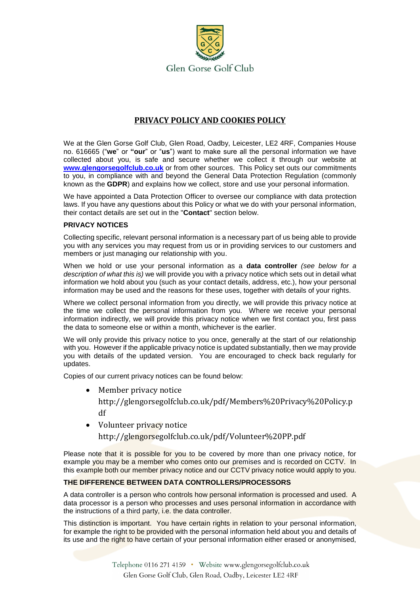

# **PRIVACY POLICY AND COOKIES POLICY**

We at the Glen Gorse Golf Club, Glen Road, Oadby, Leicester, LE2 4RF, Companies House no. 616665 ("**we**" or **"our**" or "**us**") want to make sure all the personal information we have collected about you, is safe and secure whether we collect it through our website at **[www.glengorsegolfclub.co.uk](http://www.glengorsegolfclub.co.uk/)** or from other sources. This Policy set outs our commitments to you, in compliance with and beyond the General Data Protection Regulation (commonly known as the **GDPR**) and explains how we collect, store and use your personal information.

We have appointed a Data Protection Officer to oversee our compliance with data protection laws. If you have any questions about this Policy or what we do with your personal information, their contact details are set out in the "**Contact**" section below.

## **PRIVACY NOTICES**

Collecting specific, relevant personal information is a necessary part of us being able to provide you with any services you may request from us or in providing services to our customers and members or just managing our relationship with you.

When we hold or use your personal information as a **data controller** *(see below for a description of what this is)* we will provide you with a privacy notice which sets out in detail what information we hold about you (such as your contact details, address, etc.), how your personal information may be used and the reasons for these uses, together with details of your rights.

Where we collect personal information from you directly, we will provide this privacy notice at the time we collect the personal information from you. Where we receive your personal information indirectly, we will provide this privacy notice when we first contact you, first pass the data to someone else or within a month, whichever is the earlier.

We will only provide this privacy notice to you once, generally at the start of our relationship with you. However if the applicable privacy notice is updated substantially, then we may provide you with details of the updated version. You are encouraged to check back regularly for updates.

Copies of our current privacy notices can be found below:

- Member privacy notice http://glengorsegolfclub.co.uk/pdf/Members%20Privacy%20Policy.p df
- Volunteer privacy notice http://glengorsegolfclub.co.uk/pdf/Volunteer%20PP.pdf

Please note that it is possible for you to be covered by more than one privacy notice, for example you may be a member who comes onto our premises and is recorded on CCTV. In this example both our member privacy notice and our CCTV privacy notice would apply to you.

## **THE DIFFERENCE BETWEEN DATA CONTROLLERS/PROCESSORS**

A data controller is a person who controls how personal information is processed and used. A data processor is a person who processes and uses personal information in accordance with the instructions of a third party, i.e. the data controller.

This distinction is important. You have certain rights in relation to your personal information, for example the right to be provided with the personal information held about you and details of its use and the right to have certain of your personal information either erased or anonymised,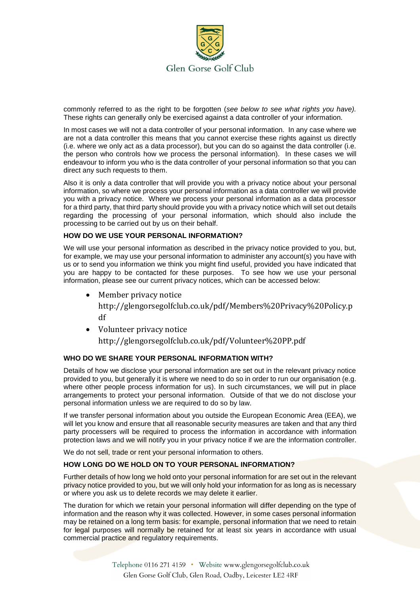

commonly referred to as the right to be forgotten (*see below to see what rights you have).* These rights can generally only be exercised against a data controller of your information.

In most cases we will not a data controller of your personal information. In any case where we are not a data controller this means that you cannot exercise these rights against us directly (i.e. where we only act as a data processor), but you can do so against the data controller (i.e. the person who controls how we process the personal information). In these cases we will endeavour to inform you who is the data controller of your personal information so that you can direct any such requests to them.

Also it is only a data controller that will provide you with a privacy notice about your personal information, so where we process your personal information as a data controller we will provide you with a privacy notice. Where we process your personal information as a data processor for a third party, that third party should provide you with a privacy notice which will set out details regarding the processing of your personal information, which should also include the processing to be carried out by us on their behalf.

## **HOW DO WE USE YOUR PERSONAL INFORMATION?**

We will use your personal information as described in the privacy notice provided to you, but, for example, we may use your personal information to administer any account(s) you have with us or to send you information we think you might find useful, provided you have indicated that you are happy to be contacted for these purposes. To see how we use your personal information, please see our current privacy notices, which can be accessed below:

• Member privacy notice

http://glengorsegolfclub.co.uk/pdf/Members%20Privacy%20Policy.p df

• Volunteer privacy notice

http://glengorsegolfclub.co.uk/pdf/Volunteer%20PP.pdf

## **WHO DO WE SHARE YOUR PERSONAL INFORMATION WITH?**

Details of how we disclose your personal information are set out in the relevant privacy notice provided to you, but generally it is where we need to do so in order to run our organisation (e.g. where other people process information for us). In such circumstances, we will put in place arrangements to protect your personal information. Outside of that we do not disclose your personal information unless we are required to do so by law.

If we transfer personal information about you outside the European Economic Area (EEA), we will let you know and ensure that all reasonable security measures are taken and that any third party processers will be required to process the information in accordance with information protection laws and we will notify you in your privacy notice if we are the information controller.

We do not sell, trade or rent your personal information to others.

## **HOW LONG DO WE HOLD ON TO YOUR PERSONAL INFORMATION?**

Further details of how long we hold onto your personal information for are set out in the relevant privacy notice provided to you, but we will only hold your information for as long as is necessary or where you ask us to delete records we may delete it earlier.

The duration for which we retain your personal information will differ depending on the type of information and the reason why it was collected. However, in some cases personal information may be retained on a long term basis: for example, personal information that we need to retain for legal purposes will normally be retained for at least six years in accordance with usual commercial practice and regulatory requirements.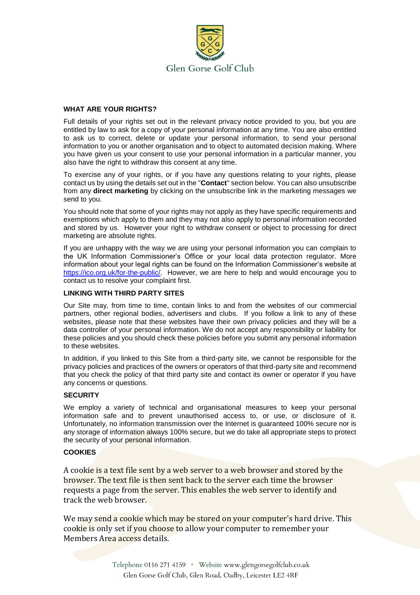

## **WHAT ARE YOUR RIGHTS?**

Full details of your rights set out in the relevant privacy notice provided to you, but you are entitled by law to ask for a copy of your personal information at any time. You are also entitled to ask us to correct, delete or update your personal information, to send your personal information to you or another organisation and to object to automated decision making. Where you have given us your consent to use your personal information in a particular manner, you also have the right to withdraw this consent at any time.

To exercise any of your rights, or if you have any questions relating to your rights, please contact us by using the details set out in the "**Contact**" section below. You can also unsubscribe from any **direct marketing** by clicking on the unsubscribe link in the marketing messages we send to you.

You should note that some of your rights may not apply as they have specific requirements and exemptions which apply to them and they may not also apply to personal information recorded and stored by us. However your right to withdraw consent or object to processing for direct marketing are absolute rights.

If you are unhappy with the way we are using your personal information you can complain to the UK Information Commissioner's Office or your local data protection regulator. More information about your legal rights can be found on the Information Commissioner's website at [https://ico.org.uk/for-the-public/.](https://ico.org.uk/for-the-public/) However, we are here to help and would encourage you to contact us to resolve your complaint first.

#### **LINKING WITH THIRD PARTY SITES**

Our Site may, from time to time, contain links to and from the websites of our commercial partners, other regional bodies, advertisers and clubs. If you follow a link to any of these websites, please note that these websites have their own privacy policies and they will be a data controller of your personal information. We do not accept any responsibility or liability for these policies and you should check these policies before you submit any personal information to these websites.

In addition, if you linked to this Site from a third-party site, we cannot be responsible for the privacy policies and practices of the owners or operators of that third-party site and recommend that you check the policy of that third party site and contact its owner or operator if you have any concerns or questions.

#### **SECURITY**

We employ a variety of technical and organisational measures to keep your personal information safe and to prevent unauthorised access to, or use, or disclosure of it. Unfortunately, no information transmission over the Internet is guaranteed 100% secure nor is any storage of information always 100% secure, but we do take all appropriate steps to protect the security of your personal information.

#### **COOKIES**

A cookie is a text file sent by a web server to a web browser and stored by the browser. The text file is then sent back to the server each time the browser requests a page from the server. This enables the web server to identify and track the web browser.

We may send a cookie which may be stored on your computer's hard drive. This cookie is only set if you choose to allow your computer to remember your Members Area access details.